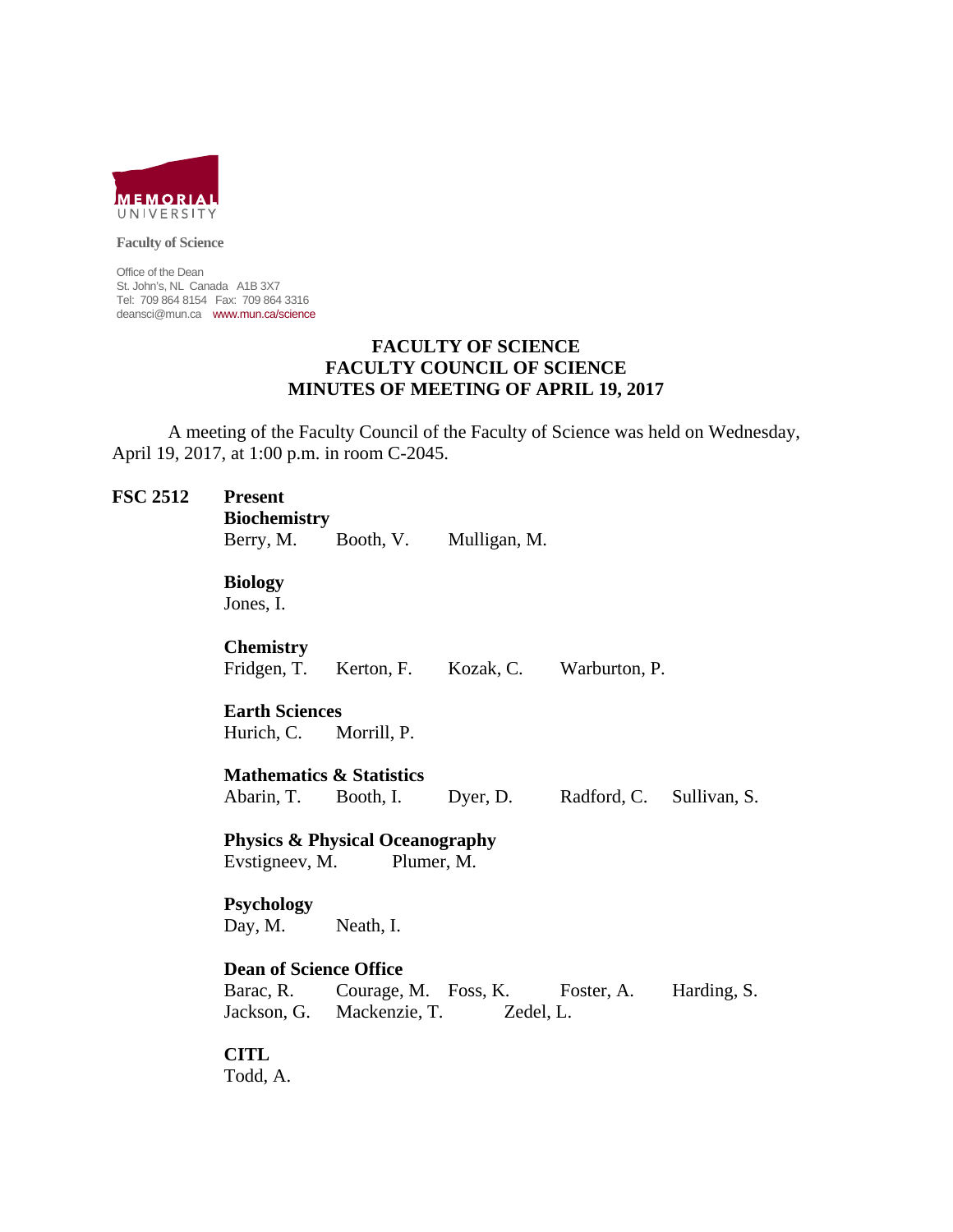

**Faculty of Science** 

Office of the Dean St. John's, NL Canada A1B 3X7 Tel: 709 864 8154 Fax: 709 864 3316 deansci@mun.ca www.mun.ca/science

# **FACULTY OF SCIENCE FACULTY COUNCIL OF SCIENCE MINUTES OF MEETING OF APRIL 19, 2017**

 A meeting of the Faculty Council of the Faculty of Science was held on Wednesday, April 19, 2017, at 1:00 p.m. in room C-2045.

| <b>FSC 2512</b> | <b>Present</b><br><b>Biochemistry</b><br>Berry, M.                         |             | Booth, V. Mulligan, M.                                                 |                          |             |
|-----------------|----------------------------------------------------------------------------|-------------|------------------------------------------------------------------------|--------------------------|-------------|
|                 | <b>Biology</b><br>Jones, I.                                                |             |                                                                        |                          |             |
|                 | <b>Chemistry</b><br>Fridgen, T.                                            | Kerton, F.  | Kozak, C. Warburton, P.                                                |                          |             |
|                 | <b>Earth Sciences</b><br>Hurich, C.                                        | Morrill, P. |                                                                        |                          |             |
|                 | <b>Mathematics &amp; Statistics</b><br>Abarin, T.                          | Booth, I.   | Dyer, D.                                                               | Radford, C. Sullivan, S. |             |
|                 | <b>Physics &amp; Physical Oceanography</b><br>Evstigneev, M.<br>Plumer, M. |             |                                                                        |                          |             |
|                 | <b>Psychology</b><br>Day, M.                                               | Neath, I.   |                                                                        |                          |             |
|                 | <b>Dean of Science Office</b>                                              |             |                                                                        |                          |             |
|                 | Barac, R.                                                                  |             | Courage, M. Foss, K. Foster, A.<br>Jackson, G. Mackenzie, T. Zedel, L. |                          | Harding, S. |
|                 | <b>CITL</b><br>Todd, A.                                                    |             |                                                                        |                          |             |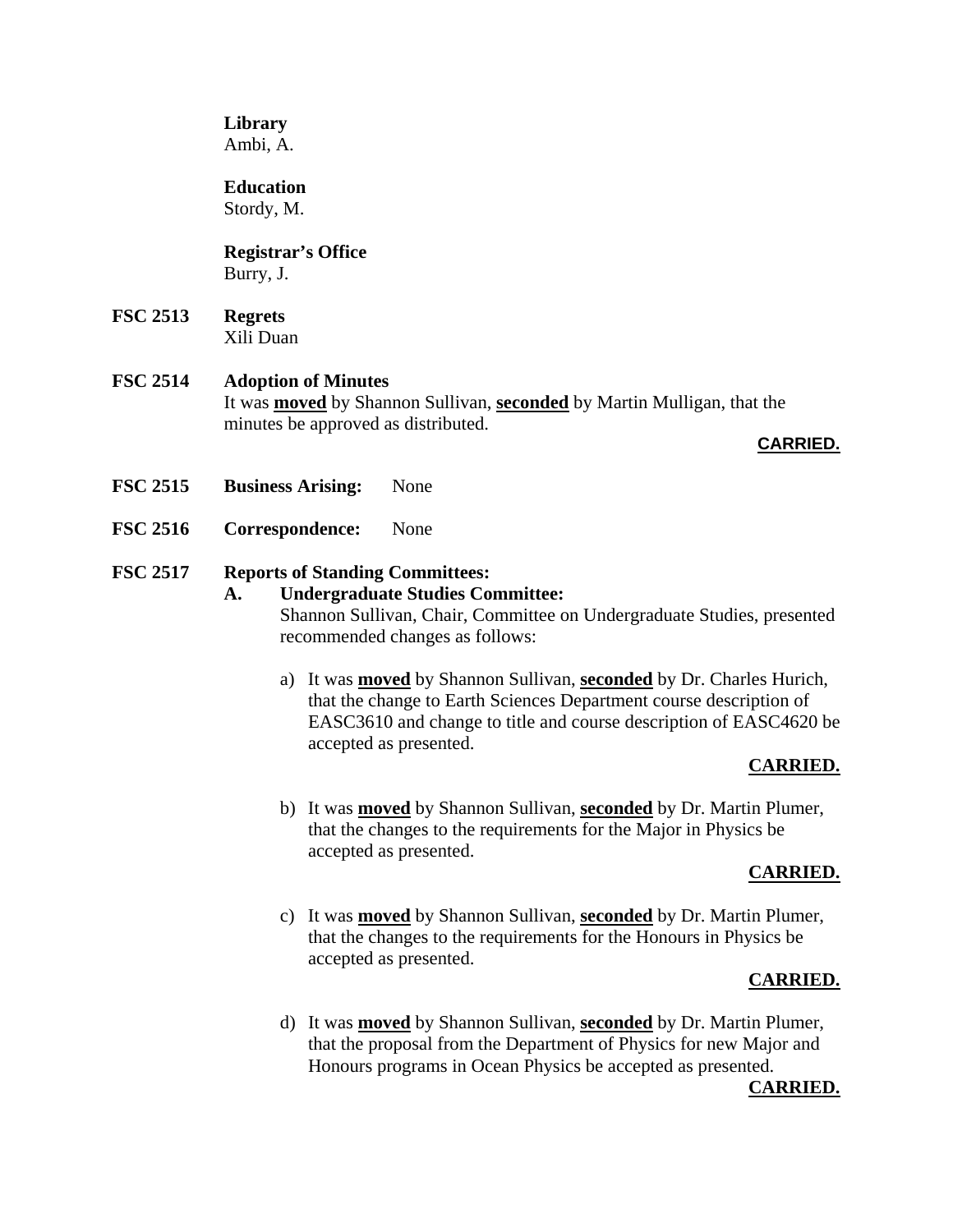## **Library**

Ambi, A.

# **Education**

Stordy, M.

# **Registrar's Office** Burry, J.

**FSC 2513 Regrets** Xili Duan

# **FSC 2514 Adoption of Minutes**

It was **moved** by Shannon Sullivan, **seconded** by Martin Mulligan, that the minutes be approved as distributed.

## **CARRIED.**

- **FSC 2515 Business Arising:** None
- **FSC 2516 Correspondence:** None

# **FSC 2517 Reports of Standing Committees:**

# **A. Undergraduate Studies Committee:**  Shannon Sullivan, Chair, Committee on Undergraduate Studies, presented recommended changes as follows:

a) It was **moved** by Shannon Sullivan, **seconded** by Dr. Charles Hurich, that the change to Earth Sciences Department course description of EASC3610 and change to title and course description of EASC4620 be accepted as presented.

# **CARRIED.**

b) It was **moved** by Shannon Sullivan, **seconded** by Dr. Martin Plumer, that the changes to the requirements for the Major in Physics be accepted as presented.

## **CARRIED.**

c) It was **moved** by Shannon Sullivan, **seconded** by Dr. Martin Plumer, that the changes to the requirements for the Honours in Physics be accepted as presented.

## **CARRIED.**

d) It was **moved** by Shannon Sullivan, **seconded** by Dr. Martin Plumer, that the proposal from the Department of Physics for new Major and Honours programs in Ocean Physics be accepted as presented.

## **CARRIED.**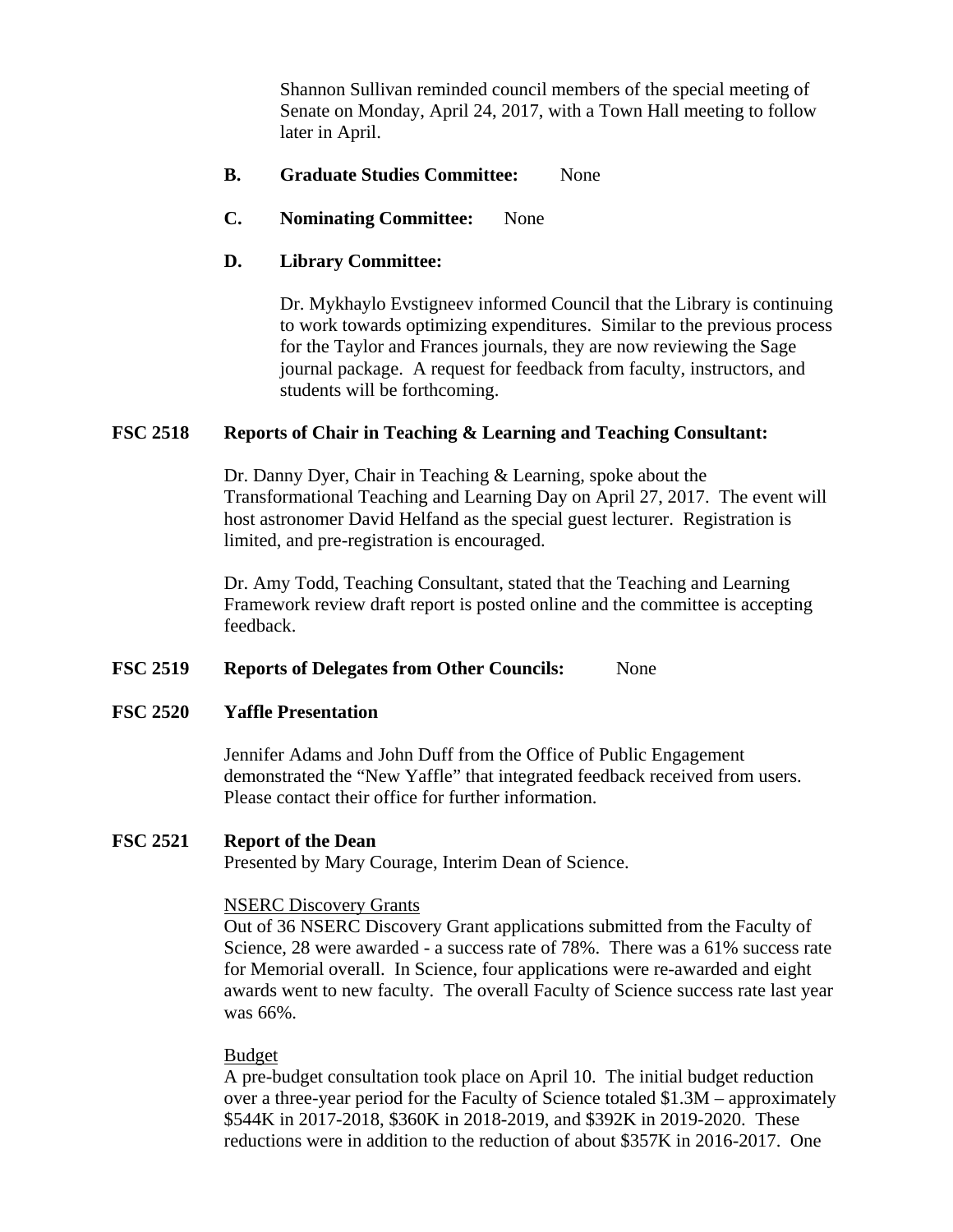Shannon Sullivan reminded council members of the special meeting of Senate on Monday, April 24, 2017, with a Town Hall meeting to follow later in April.

## **B. Graduate Studies Committee:** None

**C. Nominating Committee:** None

### **D. Library Committee:**

Dr. Mykhaylo Evstigneev informed Council that the Library is continuing to work towards optimizing expenditures. Similar to the previous process for the Taylor and Frances journals, they are now reviewing the Sage journal package. A request for feedback from faculty, instructors, and students will be forthcoming.

### **FSC 2518 Reports of Chair in Teaching & Learning and Teaching Consultant:**

Dr. Danny Dyer, Chair in Teaching & Learning, spoke about the Transformational Teaching and Learning Day on April 27, 2017. The event will host astronomer David Helfand as the special guest lecturer. Registration is limited, and pre-registration is encouraged.

Dr. Amy Todd, Teaching Consultant, stated that the Teaching and Learning Framework review draft report is posted online and the committee is accepting feedback.

### **FSC 2519 Reports of Delegates from Other Councils:** None

### **FSC 2520 Yaffle Presentation**

Jennifer Adams and John Duff from the Office of Public Engagement demonstrated the "New Yaffle" that integrated feedback received from users. Please contact their office for further information.

### **FSC 2521 Report of the Dean**

Presented by Mary Courage, Interim Dean of Science.

#### NSERC Discovery Grants

Out of 36 NSERC Discovery Grant applications submitted from the Faculty of Science, 28 were awarded - a success rate of 78%. There was a 61% success rate for Memorial overall. In Science, four applications were re-awarded and eight awards went to new faculty. The overall Faculty of Science success rate last year was 66%.

#### Budget

A pre-budget consultation took place on April 10. The initial budget reduction over a three-year period for the Faculty of Science totaled \$1.3M – approximately \$544K in 2017-2018, \$360K in 2018-2019, and \$392K in 2019-2020. These reductions were in addition to the reduction of about \$357K in 2016-2017. One